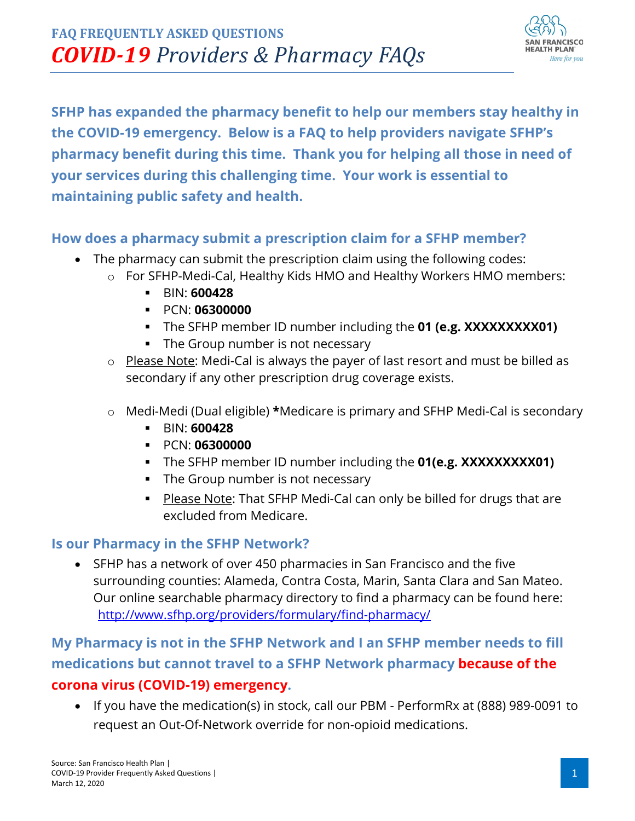

**SFHP has expanded the pharmacy benefit to help our members stay healthy in the COVID-19 emergency. Below is a FAQ to help providers navigate SFHP's pharmacy benefit during this time. Thank you for helping all those in need of your services during this challenging time. Your work is essential to maintaining public safety and health.**

## **How does a pharmacy submit a prescription claim for a SFHP member?**

- The pharmacy can submit the prescription claim using the following codes:
	- o For SFHP-Medi-Cal, Healthy Kids HMO and Healthy Workers HMO members:
		- BIN: **600428**
		- PCN: **06300000**
		- The SFHP member ID number including the **01 (e.g. XXXXXXXXX01)**
		- The Group number is not necessary
	- o Please Note: Medi-Cal is always the payer of last resort and must be billed as secondary if any other prescription drug coverage exists.
	- o Medi-Medi (Dual eligible) **\***Medicare is primary and SFHP Medi-Cal is secondary
		- BIN: **600428**
		- PCN: **06300000**
		- The SFHP member ID number including the **01(e.g. XXXXXXXXX01)**
		- The Group number is not necessary
		- **Please Note: That SFHP Medi-Cal can only be billed for drugs that are** excluded from Medicare.

## **Is our Pharmacy in the SFHP Network?**

• SFHP has a network of over 450 pharmacies in San Francisco and the five surrounding counties: Alameda, Contra Costa, Marin, Santa Clara and San Mateo. Our online searchable pharmacy directory to find a pharmacy can be found here: <http://www.sfhp.org/providers/formulary/find-pharmacy/>

**My Pharmacy is not in the SFHP Network and I an SFHP member needs to fill medications but cannot travel to a SFHP Network pharmacy because of the corona virus (COVID-19) emergency.** 

• If you have the medication(s) in stock, call our PBM - PerformRx at (888) 989-0091 to request an Out-Of-Network override for non-opioid medications.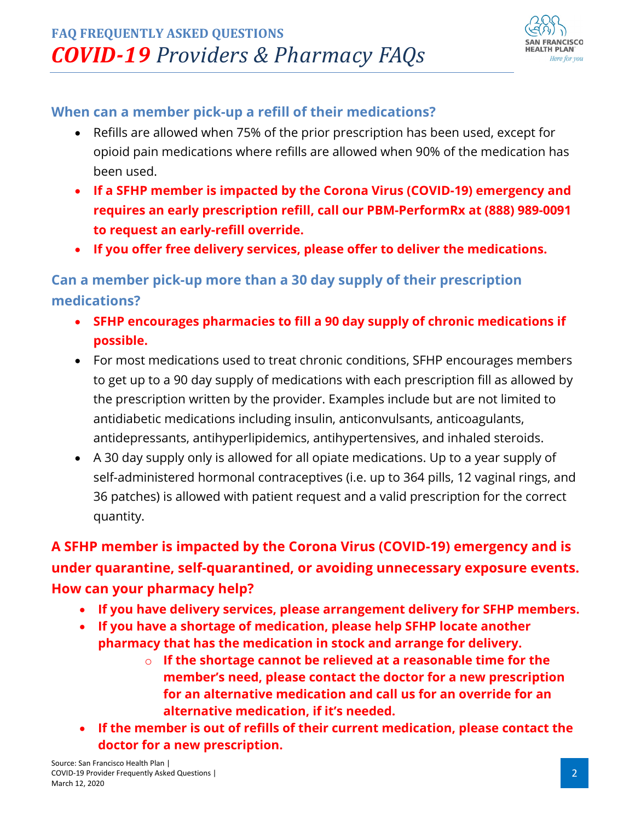

## **When can a member pick-up a refill of their medications?**

- Refills are allowed when 75% of the prior prescription has been used, except for opioid pain medications where refills are allowed when 90% of the medication has been used.
- **If a SFHP member is impacted by the Corona Virus (COVID-19) emergency and requires an early prescription refill, call our PBM-PerformRx at (888) 989-0091 to request an early-refill override.**
- **If you offer free delivery services, please offer to deliver the medications.**

**Can a member pick-up more than a 30 day supply of their prescription medications?**

- **SFHP encourages pharmacies to fill a 90 day supply of chronic medications if possible.**
- For most medications used to treat chronic conditions, SFHP encourages members to get up to a 90 day supply of medications with each prescription fill as allowed by the prescription written by the provider. Examples include but are not limited to antidiabetic medications including insulin, anticonvulsants, anticoagulants, antidepressants, antihyperlipidemics, antihypertensives, and inhaled steroids.
- A 30 day supply only is allowed for all opiate medications. Up to a year supply of self-administered hormonal contraceptives (i.e. up to 364 pills, 12 vaginal rings, and 36 patches) is allowed with patient request and a valid prescription for the correct quantity.

**A SFHP member is impacted by the Corona Virus (COVID-19) emergency and is under quarantine, self-quarantined, or avoiding unnecessary exposure events. How can your pharmacy help?** 

- **If you have delivery services, please arrangement delivery for SFHP members.**
- **If you have a shortage of medication, please help SFHP locate another pharmacy that has the medication in stock and arrange for delivery.** 
	- o **If the shortage cannot be relieved at a reasonable time for the member's need, please contact the doctor for a new prescription for an alternative medication and call us for an override for an alternative medication, if it's needed.**
- **If the member is out of refills of their current medication, please contact the doctor for a new prescription.**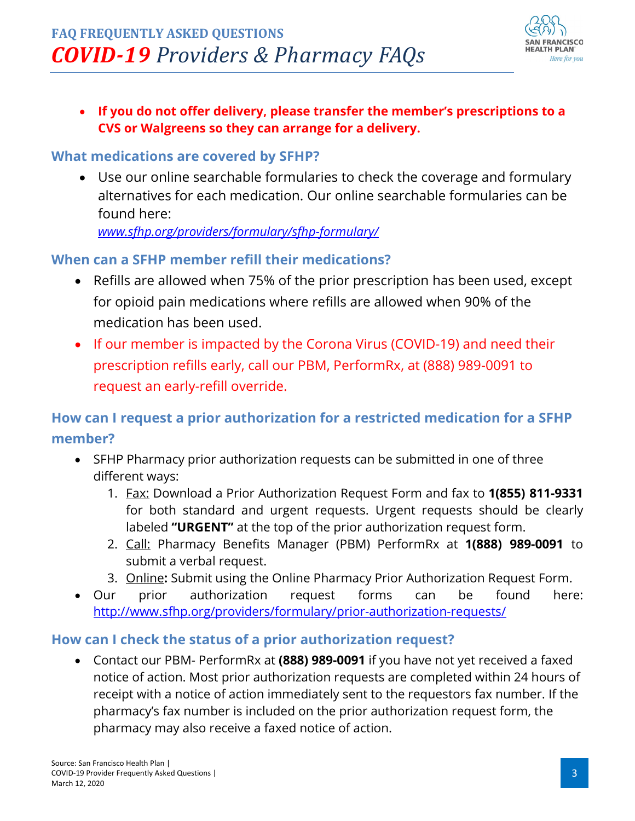

• **If you do not offer delivery, please transfer the member's prescriptions to a CVS or Walgreens so they can arrange for a delivery.**

### **What medications are covered by SFHP?**

• Use our online searchable formularies to check the coverage and formulary alternatives for each medication. Our online searchable formularies can be found here:

*[www.sfhp.org/providers/formulary/sfhp-formulary/](http://www.sfhp.org/providers/formulary/sfhp-formulary/)* 

### **When can a SFHP member refill their medications?**

- Refills are allowed when 75% of the prior prescription has been used, except for opioid pain medications where refills are allowed when 90% of the medication has been used.
- If our member is impacted by the Corona Virus (COVID-19) and need their prescription refills early, call our PBM, PerformRx, at (888) 989-0091 to request an early-refill override.

# **How can I request a prior authorization for a restricted medication for a SFHP member?**

- SFHP Pharmacy prior authorization requests can be submitted in one of three different ways:
	- 1. Fax: Download a Prior Authorization Request Form and fax to **1(855) 811-9331**  for both standard and urgent requests. Urgent requests should be clearly labeled **"URGENT"** at the top of the prior authorization request form.
	- 2. Call: Pharmacy Benefits Manager (PBM) PerformRx at **1(888) 989-0091** to submit a verbal request.
	- 3. Online**:** Submit using the Online Pharmacy Prior Authorization Request Form.
- Our prior authorization request forms can be found here: <http://www.sfhp.org/providers/formulary/prior-authorization-requests/>

### **How can I check the status of a prior authorization request?**

• Contact our PBM- PerformRx at **(888) 989-0091** if you have not yet received a faxed notice of action. Most prior authorization requests are completed within 24 hours of receipt with a notice of action immediately sent to the requestors fax number. If the pharmacy's fax number is included on the prior authorization request form, the pharmacy may also receive a faxed notice of action.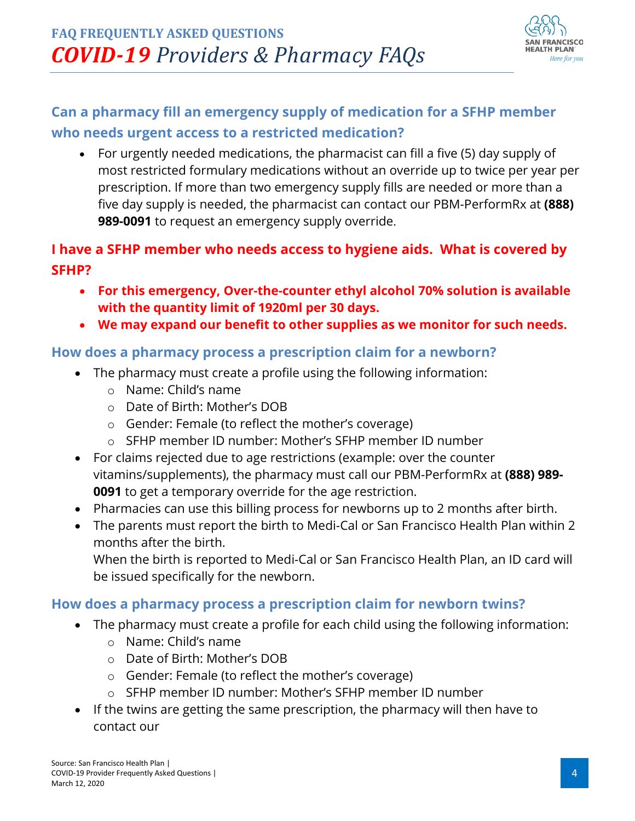

# **Can a pharmacy fill an emergency supply of medication for a SFHP member who needs urgent access to a restricted medication?**

• For urgently needed medications, the pharmacist can fill a five (5) day supply of most restricted formulary medications without an override up to twice per year per prescription. If more than two emergency supply fills are needed or more than a five day supply is needed, the pharmacist can contact our PBM-PerformRx at **(888) 989-0091** to request an emergency supply override.

# **I have a SFHP member who needs access to hygiene aids. What is covered by SFHP?**

- **For this emergency, Over-the-counter ethyl alcohol 70% solution is available with the quantity limit of 1920ml per 30 days.**
- **We may expand our benefit to other supplies as we monitor for such needs.**

## **How does a pharmacy process a prescription claim for a newborn?**

- The pharmacy must create a profile using the following information:
	- o Name: Child's name
	- o Date of Birth: Mother's DOB
	- o Gender: Female (to reflect the mother's coverage)
	- o SFHP member ID number: Mother's SFHP member ID number
- For claims rejected due to age restrictions (example: over the counter vitamins/supplements), the pharmacy must call our PBM-PerformRx at **(888) 989- 0091** to get a temporary override for the age restriction.
- Pharmacies can use this billing process for newborns up to 2 months after birth.
- The parents must report the birth to Medi-Cal or San Francisco Health Plan within 2 months after the birth.

When the birth is reported to Medi-Cal or San Francisco Health Plan, an ID card will be issued specifically for the newborn.

### **How does a pharmacy process a prescription claim for newborn twins?**

- The pharmacy must create a profile for each child using the following information:
	- o Name: Child's name
	- o Date of Birth: Mother's DOB
	- o Gender: Female (to reflect the mother's coverage)
	- o SFHP member ID number: Mother's SFHP member ID number
- If the twins are getting the same prescription, the pharmacy will then have to contact our